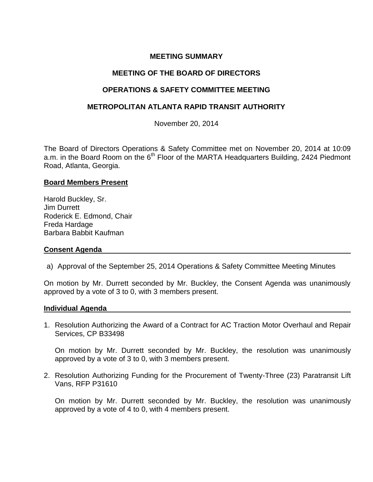# **MEETING SUMMARY**

### **MEETING OF THE BOARD OF DIRECTORS**

### **OPERATIONS & SAFETY COMMITTEE MEETING**

### **METROPOLITAN ATLANTA RAPID TRANSIT AUTHORITY**

November 20, 2014

The Board of Directors Operations & Safety Committee met on November 20, 2014 at 10:09 a.m. in the Board Room on the  $6<sup>th</sup>$  Floor of the MARTA Headquarters Building, 2424 Piedmont Road, Atlanta, Georgia.

### **Board Members Present**

Harold Buckley, Sr. Jim Durrett Roderick E. Edmond, Chair Freda Hardage Barbara Babbit Kaufman

### **Consent Agenda**

a) Approval of the September 25, 2014 Operations & Safety Committee Meeting Minutes

On motion by Mr. Durrett seconded by Mr. Buckley, the Consent Agenda was unanimously approved by a vote of 3 to 0, with 3 members present.

#### **Individual Agenda**

1. Resolution Authorizing the Award of a Contract for AC Traction Motor Overhaul and Repair Services, CP B33498

On motion by Mr. Durrett seconded by Mr. Buckley, the resolution was unanimously approved by a vote of 3 to 0, with 3 members present.

2. Resolution Authorizing Funding for the Procurement of Twenty-Three (23) Paratransit Lift Vans, RFP P31610

On motion by Mr. Durrett seconded by Mr. Buckley, the resolution was unanimously approved by a vote of 4 to 0, with 4 members present.